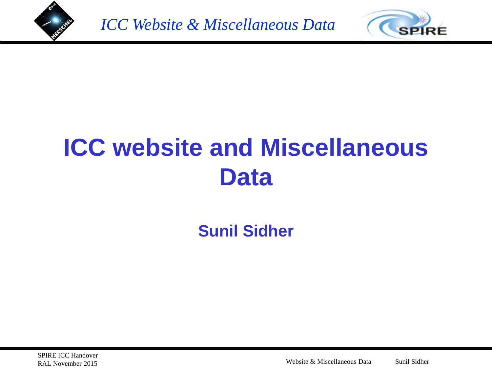



# **ICC website and Miscellaneous Data**

**Sunil Sidher**

Website & Miscellaneous Data Sunil Sidher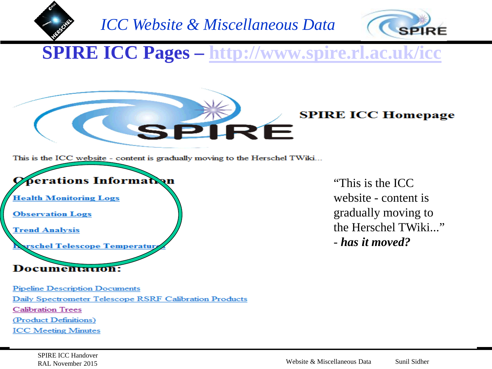



**SPIRE ICC Pages – <http://www.spire.rl.ac.uk/icc>**

#### **SPIRE ICC Homepage**

This is the ICC website - content is gradually moving to the Herschel TWiki...



"This is the ICC website - content is gradually moving to the Herschel TWiki..." - *has it moved?*

**Pipeline Description Documents** Daily Spectrometer Telescope RSRF Calibration Products **Calibration Trees** (Product Definitions) **ICC Meeting Minutes**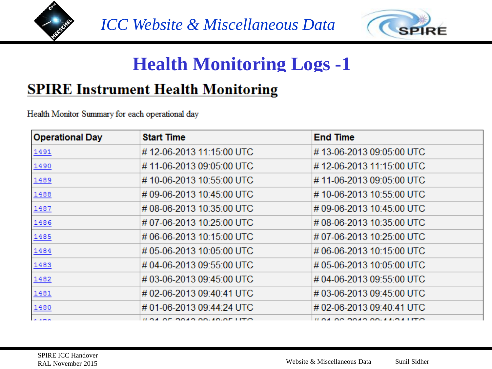



# **Health Monitoring Logs -1**

#### **SPIRE Instrument Health Monitoring**

Health Monitor Summary for each operational day

| <b>Operational Day</b> | <b>Start Time</b>             | <b>End Time</b>                                        |
|------------------------|-------------------------------|--------------------------------------------------------|
| 1491                   | #12-06-2013 11:15:00 UTC      | #13-06-2013 09:05:00 UTC                               |
| 1490                   | #11-06-2013 09:05:00 UTC      | #12-06-2013 11:15:00 UTC                               |
| 1489                   | #10-06-2013 10:55:00 UTC      | #11-06-2013 09:05:00 UTC                               |
| 1488                   | #09-06-2013 10:45:00 UTC      | #10-06-2013 10:55:00 UTC                               |
| 1487                   | #08-06-2013 10:35:00 UTC      | #09-06-2013 10:45:00 UTC                               |
| 1486                   | #07-06-2013 10:25:00 UTC      | #08-06-2013 10:35:00 UTC                               |
| 1485                   | #06-06-2013 10:15:00 UTC      | #07-06-2013 10:25:00 UTC                               |
| 1484                   | #05-06-2013 10:05:00 UTC      | #06-06-2013 10:15:00 UTC                               |
| 1483                   | #04-06-2013 09:55:00 UTC      | #05-06-2013 10:05:00 UTC                               |
| 1482                   | #03-06-2013 09:45:00 UTC      | #04-06-2013 09:55:00 UTC                               |
| 1481                   | #02-06-2013 09:40:41 UTC      | #03-06-2013 09:45:00 UTC                               |
| 1480                   | #01-06-2013 09:44:24 UTC      | #02-06-2013 09:40:41 UTC                               |
| la ama                 | $\mu$ as an aasa aa solan uto | $\mu$ or on only on $\lambda$ $\lambda$ of $\mu$ $\pi$ |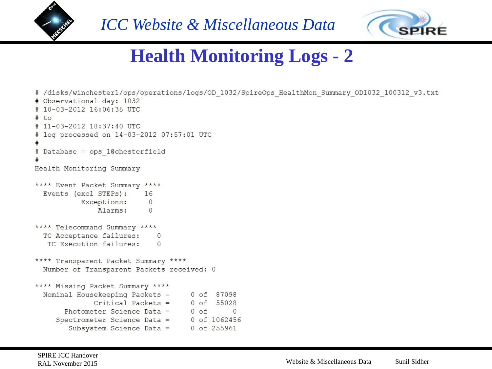



# **Health Monitoring Logs - 2**

```
# /disks/winchester1/ops/operations/logs/OD 1032/SpireOps HealthMon Summary OD1032 100312 v3.txt
# Observational day: 1032
# 10-03-2012 16:06:35 UTC
# to
# 11-03-2012 18:37:40 UTC
# log processed on 14-03-2012 07:57:01 UTC
# Database = ops 1@chesterfield
Health Monitoring Summary
**** Event Packet Summary ****
  Events (excl STEPs):
                           16
           Exceptions:
                            \overline{0}Alarms:
                            \Omega**** Telecommand Summary ****
  TC Acceptance failures:
                              \overline{0}TC Execution failures:
                              \overline{0}**** Transparent Packet Summary ****
  Number of Transparent Packets received: 0
**** Missing Packet Summary ****
  Nominal Housekeeping Packets =
                                       0 of 87098
              Critical Packets = 0 of 55028
       Photometer Science Data = \qquad 0 of
                                                 \overline{0}Spectrometer Science Data =
                                     0 of 1062456
        Subsystem Science Data =
                                       0 of 255961
```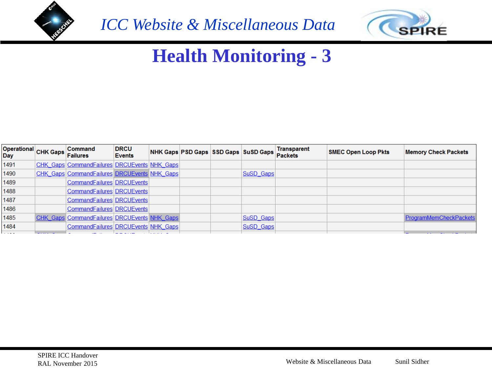



# **Health Monitoring - 3**

| Operational CHK Gaps<br><b>Day</b> | <b>Command</b><br><b>Failures</b>                   | <b>DRCU</b><br>Events |  | NHK Gaps PSD Gaps SSD Gaps SuSD Gaps | <b>Transparent</b><br><b>Packets</b> | <b>SMEC Open Loop Pkts</b> | <b>Memory Check Packets</b> |
|------------------------------------|-----------------------------------------------------|-----------------------|--|--------------------------------------|--------------------------------------|----------------------------|-----------------------------|
| 1491                               | CHK Gaps CommandFailures DRCUEvents NHK Gaps        |                       |  |                                      |                                      |                            |                             |
| 1490                               | CHK Gaps CommandFailures DRCUEvents NHK Gaps        |                       |  | SuSD Gaps                            |                                      |                            |                             |
| 1489                               | CommandFailures DRCUEvents                          |                       |  |                                      |                                      |                            |                             |
| 1488                               | CommandFailures DRCUEvents                          |                       |  |                                      |                                      |                            |                             |
| 1487                               | CommandFailures DRCUEvents                          |                       |  |                                      |                                      |                            |                             |
| 1486                               | CommandFailures   DRCUEvents                        |                       |  |                                      |                                      |                            |                             |
| 1485                               | <b>CHK Gaps CommandFailures DRCUEvents NHK Gaps</b> |                       |  | SuSD Gaps                            |                                      |                            | ProgramMemCheckPackets      |
| 1484                               | CommandFailures DRCUEvents NHK Gaps                 |                       |  | SuSD Gaps                            |                                      |                            |                             |
|                                    |                                                     |                       |  |                                      |                                      |                            |                             |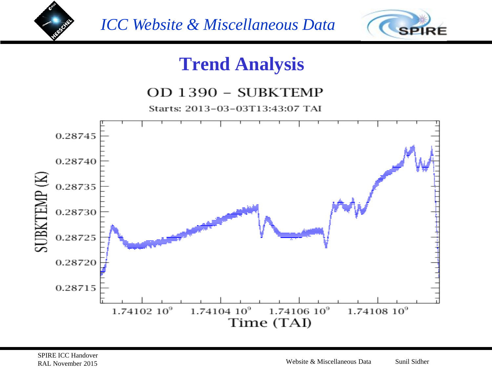



### **Trend Analysis**

#### OD 1390 - SUBKTEMP

Starts: 2013-03-03T13:43:07 TAI

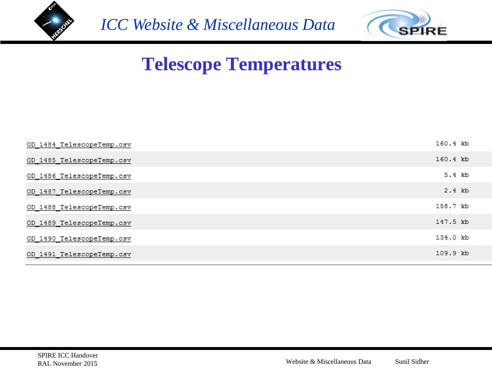



# **Telescope Temperatures**

| OD 1484 TelescopeTemp.csv | 160.4 kb |
|---------------------------|----------|
| OD 1485 TelescopeTemp.csv | 160.4 kb |
| OD 1486 TelescopeTemp.csv | 5.4 kb   |
| OD 1487 TelescopeTemp.csv | 2.4 kb   |
| OD 1488 TelescopeTemp.csv | 158.7 kb |
| OD 1489 TelescopeTemp.csv | 147.5 kb |
| OD 1490 TelescopeTemp.csv | 134.0 kb |
| OD 1491 TelescopeTemp.csv | 109.9 kb |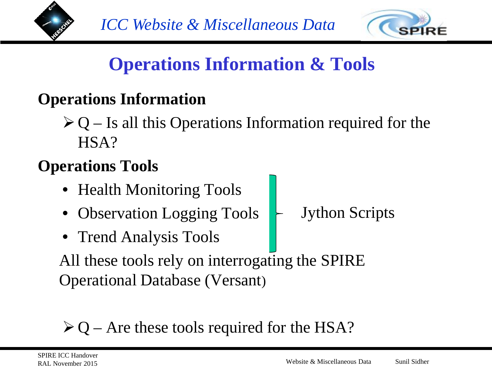



# **Operations Information & Tools**

### **Operations Information**

 $\triangleright$  Q – Is all this Operations Information required for the HSA?

### **Operations Tools**

- Health Monitoring Tools
- Observation Logging Tools Jython Scripts
- Trend Analysis Tools

All these tools rely on interrogating the SPIRE Operational Database (Versant)

# $\geq Q$  – Are these tools required for the HSA?

SPIRE ICC Handover RAL November 2015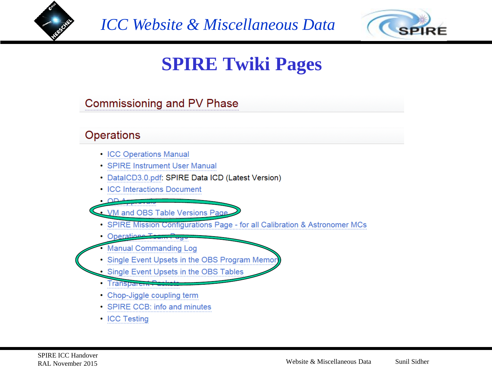



# **SPIRE Twiki Pages**

**Commissioning and PV Phase** 

#### **Operations**

- ICC Operations Manual
- SPIRE Instrument User Manual
- DataICD3.0.pdf: SPIRE Data ICD (Latest Version)
- ICC Interactions Document
- ∙ ∩n

. VM and OBS Table Versions Page

- SPIRE Mission Configurations Page for all Calibration & Astronomer MCs
- Operations T
- **Manual Commanding Log**
- Single Event Upsets in the OBS Program Memor
- Single Event Upsets in the OBS Tables
- Transparent<sub>-</sub>
- Chop-Jiggle coupling term
- SPIRE CCB: info and minutes
- ICC Testing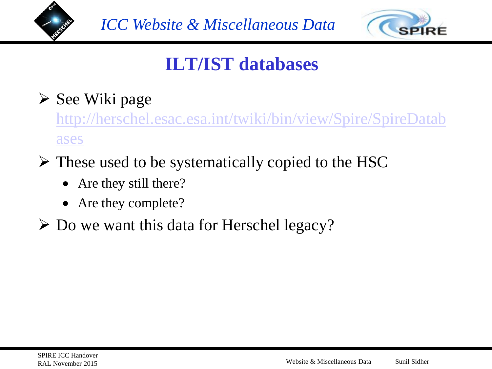



# **ILT/IST databases**

### $\triangleright$  See Wiki page

[http://herschel.esac.esa.int/twiki/bin/view/Spire/SpireDatab](http://herschel.esac.esa.int/twiki/bin/view/Spire/SpireDatabases) [ases](http://herschel.esac.esa.int/twiki/bin/view/Spire/SpireDatabases)

- $\triangleright$  These used to be systematically copied to the HSC
	- Are they still there?
	- Are they complete?
- $\triangleright$  Do we want this data for Herschel legacy?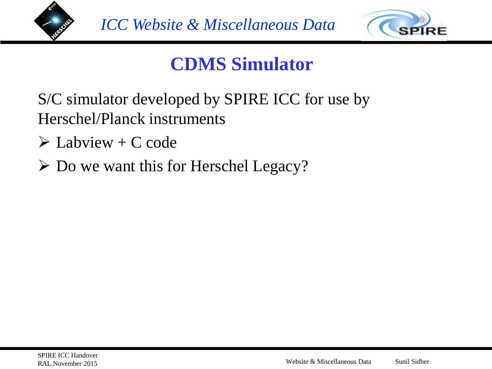



# **CDMS Simulator**

S/C simulator developed by SPIRE ICC for use by Herschel/Planck instruments

- $\triangleright$  Labview + C code
- $\triangleright$  Do we want this for Herschel Legacy?